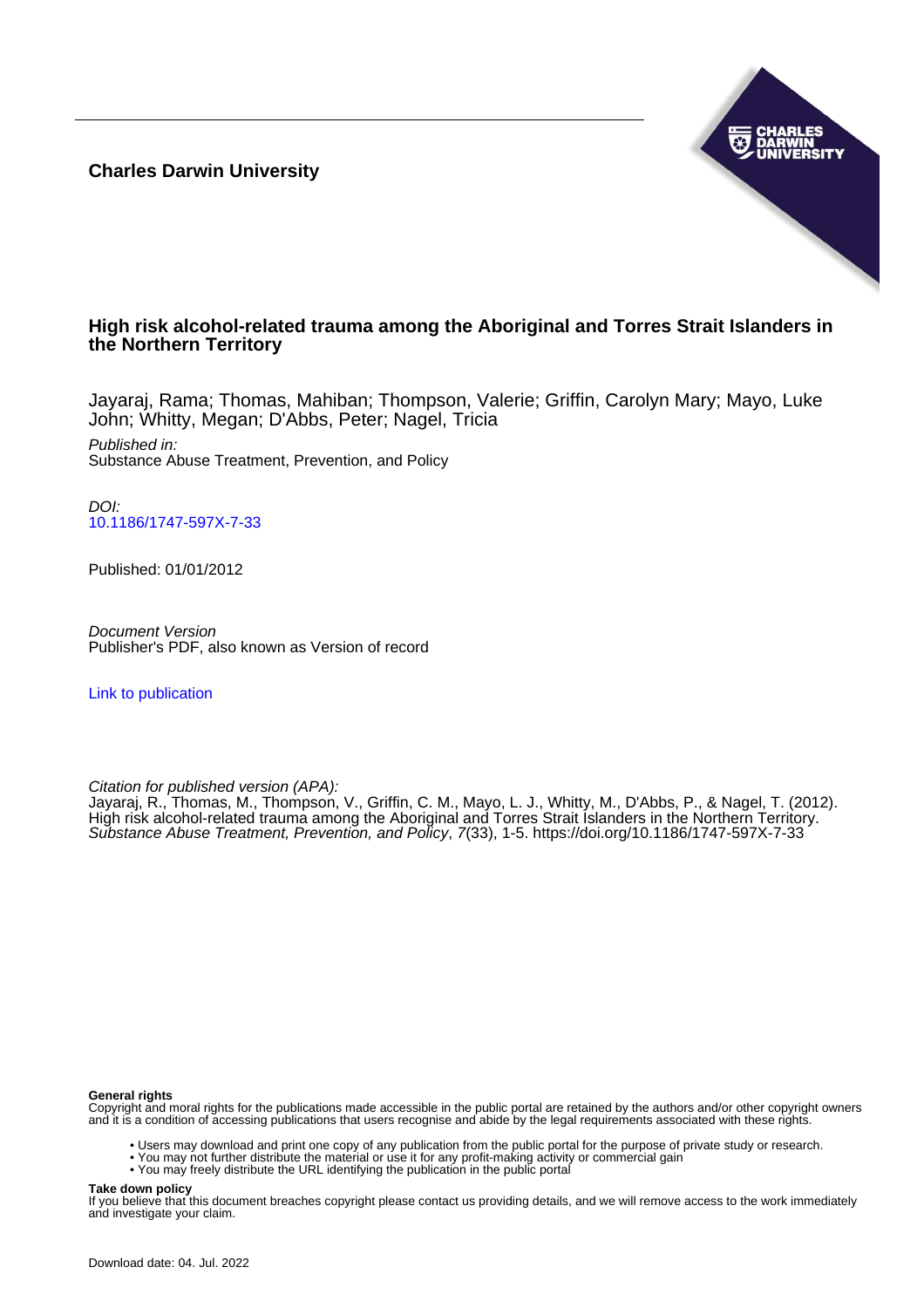**Charles Darwin University**



# **High risk alcohol-related trauma among the Aboriginal and Torres Strait Islanders in the Northern Territory**

Jayaraj, Rama; Thomas, Mahiban; Thompson, Valerie; Griffin, Carolyn Mary; Mayo, Luke John; Whitty, Megan; D'Abbs, Peter; Nagel, Tricia

Published in: Substance Abuse Treatment, Prevention, and Policy

DOI: [10.1186/1747-597X-7-33](https://doi.org/10.1186/1747-597X-7-33)

Published: 01/01/2012

Document Version Publisher's PDF, also known as Version of record

[Link to publication](https://researchers.cdu.edu.au/en/publications/eb513190-d536-464d-989e-d31bf10e200a)

Citation for published version (APA):

Jayaraj, R., Thomas, M., Thompson, V., Griffin, C. M., Mayo, L. J., Whitty, M., D'Abbs, P., & Nagel, T. (2012). High risk alcohol-related trauma among the Aboriginal and Torres Strait Islanders in the Northern Territory. Substance Abuse Treatment, Prevention, and Policy, 7(33), 1-5.<https://doi.org/10.1186/1747-597X-7-33>

#### **General rights**

Copyright and moral rights for the publications made accessible in the public portal are retained by the authors and/or other copyright owners and it is a condition of accessing publications that users recognise and abide by the legal requirements associated with these rights.

- Users may download and print one copy of any publication from the public portal for the purpose of private study or research.
- You may not further distribute the material or use it for any profit-making activity or commercial gain
- You may freely distribute the URL identifying the publication in the public portal

# **Take down policy**

If you believe that this document breaches copyright please contact us providing details, and we will remove access to the work immediately and investigate your claim.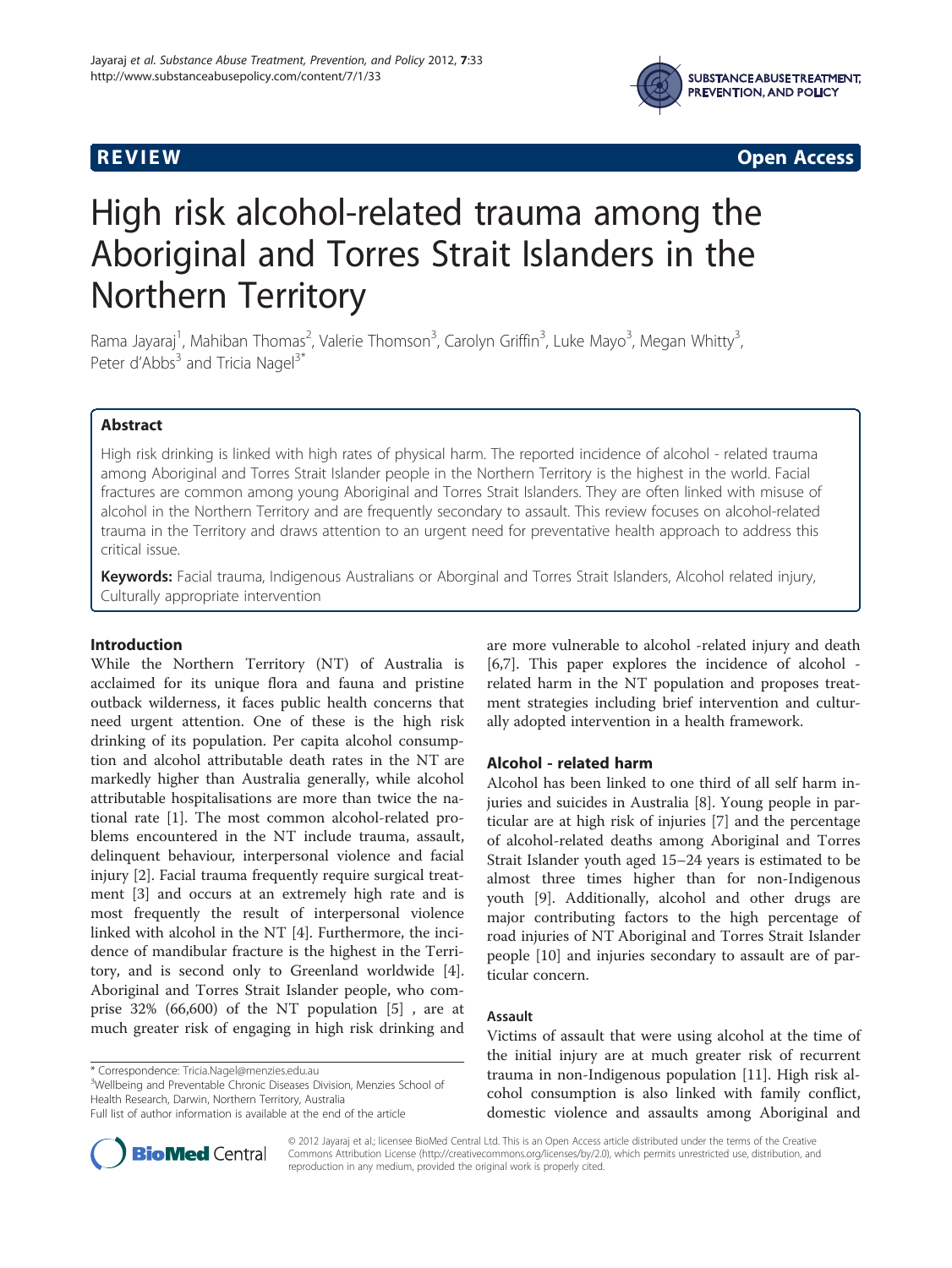

**REVIEW CONSTRUCTION CONSTRUCTION CONSTRUCTS** 

# High risk alcohol-related trauma among the Aboriginal and Torres Strait Islanders in the Northern Territory

Rama Jayaraj<sup>1</sup>, Mahiban Thomas<sup>2</sup>, Valerie Thomson<sup>3</sup>, Carolyn Griffin<sup>3</sup>, Luke Mayo<sup>3</sup>, Megan Whitty<sup>3</sup> , Peter d'Abbs<sup>3</sup> and Tricia Nagel<sup>3\*</sup>

# Abstract

High risk drinking is linked with high rates of physical harm. The reported incidence of alcohol - related trauma among Aboriginal and Torres Strait Islander people in the Northern Territory is the highest in the world. Facial fractures are common among young Aboriginal and Torres Strait Islanders. They are often linked with misuse of alcohol in the Northern Territory and are frequently secondary to assault. This review focuses on alcohol-related trauma in the Territory and draws attention to an urgent need for preventative health approach to address this critical issue.

Keywords: Facial trauma, Indigenous Australians or Aborginal and Torres Strait Islanders, Alcohol related injury, Culturally appropriate intervention

# Introduction

While the Northern Territory (NT) of Australia is acclaimed for its unique flora and fauna and pristine outback wilderness, it faces public health concerns that need urgent attention. One of these is the high risk drinking of its population. Per capita alcohol consumption and alcohol attributable death rates in the NT are markedly higher than Australia generally, while alcohol attributable hospitalisations are more than twice the national rate [\[1](#page-4-0)]. The most common alcohol-related problems encountered in the NT include trauma, assault, delinquent behaviour, interpersonal violence and facial injury [[2](#page-4-0)]. Facial trauma frequently require surgical treatment [[3\]](#page-4-0) and occurs at an extremely high rate and is most frequently the result of interpersonal violence linked with alcohol in the NT [[4\]](#page-4-0). Furthermore, the incidence of mandibular fracture is the highest in the Territory, and is second only to Greenland worldwide [\[4](#page-4-0)]. Aboriginal and Torres Strait Islander people, who comprise 32% (66,600) of the NT population [[5\]](#page-4-0) , are at much greater risk of engaging in high risk drinking and

<sup>3</sup>Wellbeing and Preventable Chronic Diseases Division, Menzies School of Health Research, Darwin, Northern Territory, Australia

are more vulnerable to alcohol -related injury and death [[6,7\]](#page-4-0). This paper explores the incidence of alcohol related harm in the NT population and proposes treatment strategies including brief intervention and culturally adopted intervention in a health framework.

# Alcohol - related harm

Alcohol has been linked to one third of all self harm injuries and suicides in Australia [[8](#page-4-0)]. Young people in particular are at high risk of injuries [\[7](#page-4-0)] and the percentage of alcohol-related deaths among Aboriginal and Torres Strait Islander youth aged 15–24 years is estimated to be almost three times higher than for non-Indigenous youth [\[9](#page-4-0)]. Additionally, alcohol and other drugs are major contributing factors to the high percentage of road injuries of NT Aboriginal and Torres Strait Islander people [\[10](#page-4-0)] and injuries secondary to assault are of particular concern.

#### Assault

Victims of assault that were using alcohol at the time of the initial injury are at much greater risk of recurrent trauma in non-Indigenous population [[11](#page-4-0)]. High risk alcohol consumption is also linked with family conflict, domestic violence and assaults among Aboriginal and



© 2012 Jayaraj et al.; licensee BioMed Central Ltd. This is an Open Access article distributed under the terms of the Creative Commons Attribution License [\(http://creativecommons.org/licenses/by/2.0\)](http://creativecommons.org/licenses/by/2.0), which permits unrestricted use, distribution, and reproduction in any medium, provided the original work is properly cited.

<sup>\*</sup> Correspondence: [Tricia.Nagel@menzies.edu.au](mailto:Tricia.Nagel@menzies.edu.au) <sup>3</sup>

Full list of author information is available at the end of the article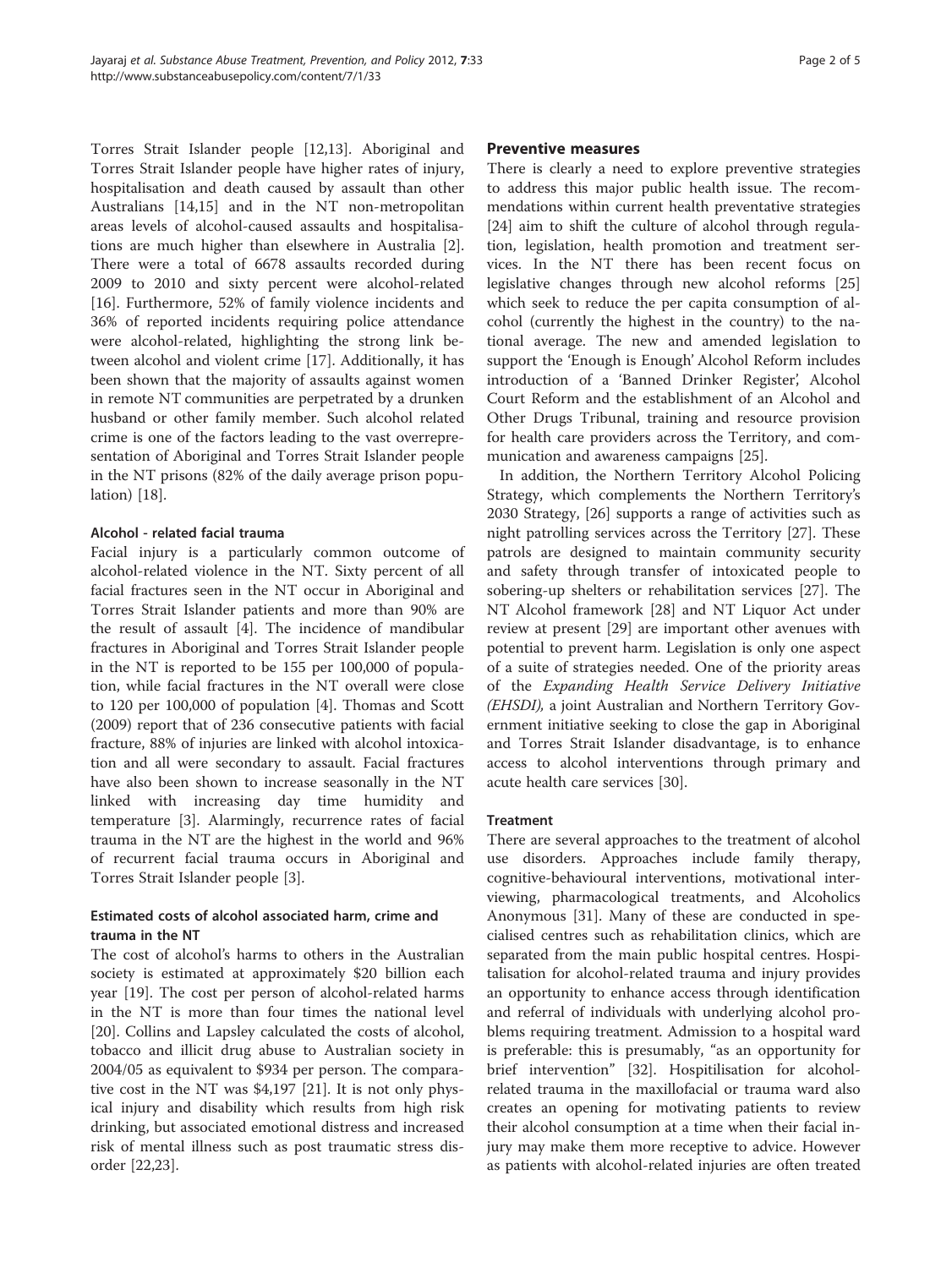Torres Strait Islander people [\[12,13\]](#page-4-0). Aboriginal and Torres Strait Islander people have higher rates of injury, hospitalisation and death caused by assault than other Australians [\[14,15\]](#page-4-0) and in the NT non-metropolitan areas levels of alcohol-caused assaults and hospitalisations are much higher than elsewhere in Australia [\[2](#page-4-0)]. There were a total of 6678 assaults recorded during 2009 to 2010 and sixty percent were alcohol-related [[16\]](#page-4-0). Furthermore, 52% of family violence incidents and 36% of reported incidents requiring police attendance were alcohol-related, highlighting the strong link between alcohol and violent crime [[17\]](#page-4-0). Additionally, it has been shown that the majority of assaults against women in remote NT communities are perpetrated by a drunken husband or other family member. Such alcohol related crime is one of the factors leading to the vast overrepresentation of Aboriginal and Torres Strait Islander people in the NT prisons (82% of the daily average prison population) [\[18\]](#page-4-0).

# Alcohol - related facial trauma

Facial injury is a particularly common outcome of alcohol-related violence in the NT. Sixty percent of all facial fractures seen in the NT occur in Aboriginal and Torres Strait Islander patients and more than 90% are the result of assault [[4\]](#page-4-0). The incidence of mandibular fractures in Aboriginal and Torres Strait Islander people in the NT is reported to be 155 per 100,000 of population, while facial fractures in the NT overall were close to 120 per 100,000 of population [[4\]](#page-4-0). Thomas and Scott (2009) report that of 236 consecutive patients with facial fracture, 88% of injuries are linked with alcohol intoxication and all were secondary to assault. Facial fractures have also been shown to increase seasonally in the NT linked with increasing day time humidity and temperature [[3\]](#page-4-0). Alarmingly, recurrence rates of facial trauma in the NT are the highest in the world and 96% of recurrent facial trauma occurs in Aboriginal and Torres Strait Islander people [\[3](#page-4-0)].

# Estimated costs of alcohol associated harm, crime and trauma in the NT

The cost of alcohol's harms to others in the Australian society is estimated at approximately \$20 billion each year [[19](#page-4-0)]. The cost per person of alcohol-related harms in the NT is more than four times the national level [[20\]](#page-4-0). Collins and Lapsley calculated the costs of alcohol, tobacco and illicit drug abuse to Australian society in 2004/05 as equivalent to \$934 per person. The comparative cost in the NT was \$4,197 [[21\]](#page-4-0). It is not only physical injury and disability which results from high risk drinking, but associated emotional distress and increased risk of mental illness such as post traumatic stress disorder [[22,23\]](#page-4-0).

# Preventive measures

There is clearly a need to explore preventive strategies to address this major public health issue. The recommendations within current health preventative strategies [[24\]](#page-5-0) aim to shift the culture of alcohol through regulation, legislation, health promotion and treatment services. In the NT there has been recent focus on legislative changes through new alcohol reforms [[25](#page-5-0)] which seek to reduce the per capita consumption of alcohol (currently the highest in the country) to the national average. The new and amended legislation to support the 'Enough is Enough' Alcohol Reform includes introduction of a 'Banned Drinker Register', Alcohol Court Reform and the establishment of an Alcohol and Other Drugs Tribunal, training and resource provision for health care providers across the Territory, and communication and awareness campaigns [\[25](#page-5-0)].

In addition, the Northern Territory Alcohol Policing Strategy, which complements the Northern Territory's 2030 Strategy, [\[26](#page-5-0)] supports a range of activities such as night patrolling services across the Territory [[27](#page-5-0)]. These patrols are designed to maintain community security and safety through transfer of intoxicated people to sobering-up shelters or rehabilitation services [\[27\]](#page-5-0). The NT Alcohol framework [[28\]](#page-5-0) and NT Liquor Act under review at present [[29\]](#page-5-0) are important other avenues with potential to prevent harm. Legislation is only one aspect of a suite of strategies needed. One of the priority areas of the Expanding Health Service Delivery Initiative (EHSDI), a joint Australian and Northern Territory Government initiative seeking to close the gap in Aboriginal and Torres Strait Islander disadvantage, is to enhance access to alcohol interventions through primary and acute health care services [\[30\]](#page-5-0).

# **Treatment**

There are several approaches to the treatment of alcohol use disorders. Approaches include family therapy, cognitive-behavioural interventions, motivational interviewing, pharmacological treatments, and Alcoholics Anonymous [[31\]](#page-5-0). Many of these are conducted in specialised centres such as rehabilitation clinics, which are separated from the main public hospital centres. Hospitalisation for alcohol-related trauma and injury provides an opportunity to enhance access through identification and referral of individuals with underlying alcohol problems requiring treatment. Admission to a hospital ward is preferable: this is presumably, "as an opportunity for brief intervention" [[32\]](#page-5-0). Hospitilisation for alcoholrelated trauma in the maxillofacial or trauma ward also creates an opening for motivating patients to review their alcohol consumption at a time when their facial injury may make them more receptive to advice. However as patients with alcohol-related injuries are often treated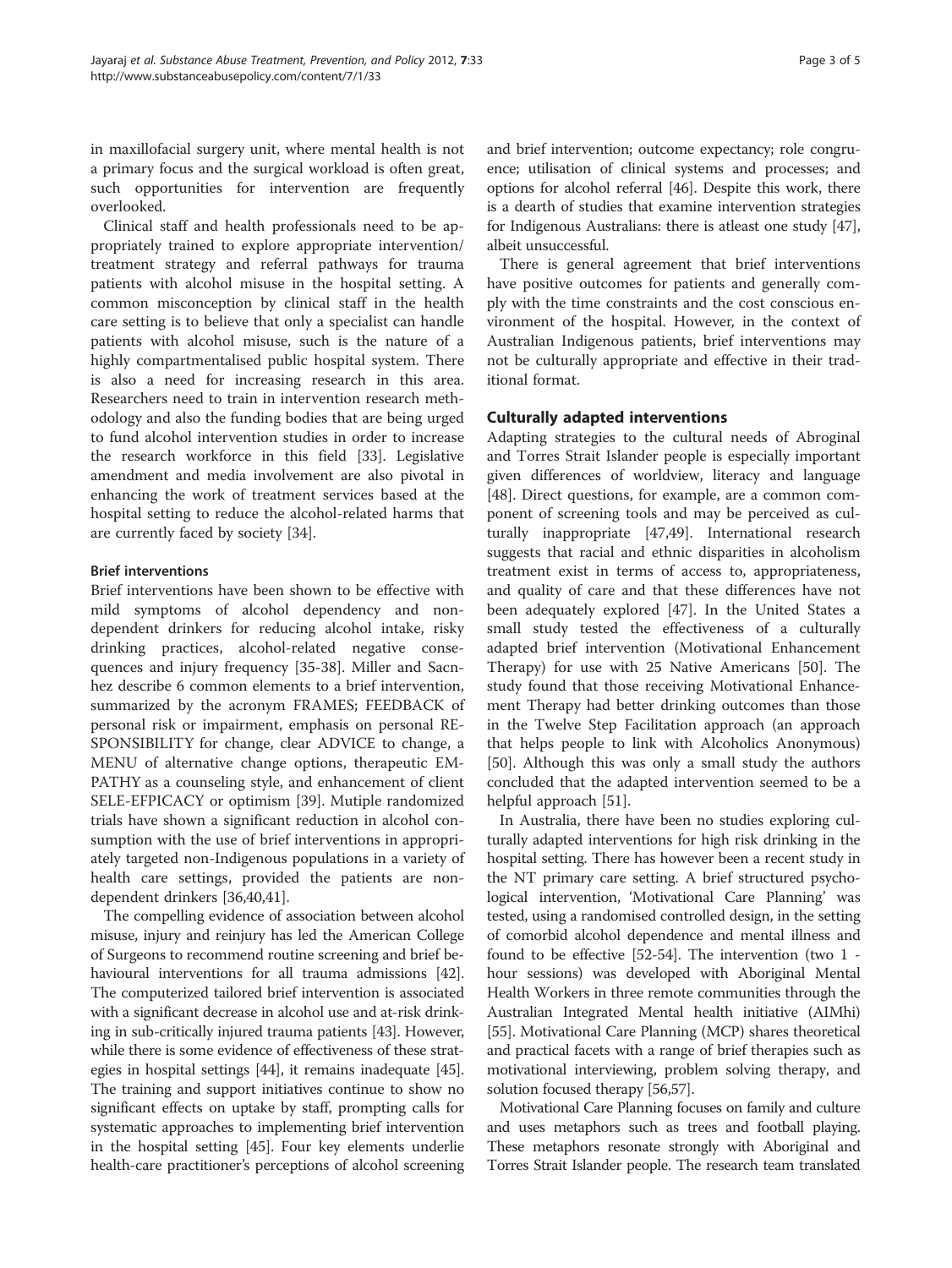in maxillofacial surgery unit, where mental health is not a primary focus and the surgical workload is often great, such opportunities for intervention are frequently overlooked.

Clinical staff and health professionals need to be appropriately trained to explore appropriate intervention/ treatment strategy and referral pathways for trauma patients with alcohol misuse in the hospital setting. A common misconception by clinical staff in the health care setting is to believe that only a specialist can handle patients with alcohol misuse, such is the nature of a highly compartmentalised public hospital system. There is also a need for increasing research in this area. Researchers need to train in intervention research methodology and also the funding bodies that are being urged to fund alcohol intervention studies in order to increase the research workforce in this field [\[33](#page-5-0)]. Legislative amendment and media involvement are also pivotal in enhancing the work of treatment services based at the hospital setting to reduce the alcohol-related harms that are currently faced by society [[34\]](#page-5-0).

# Brief interventions

Brief interventions have been shown to be effective with mild symptoms of alcohol dependency and nondependent drinkers for reducing alcohol intake, risky drinking practices, alcohol-related negative consequences and injury frequency [\[35](#page-5-0)-[38\]](#page-5-0). Miller and Sacnhez describe 6 common elements to a brief intervention, summarized by the acronym FRAMES; FEEDBACK of personal risk or impairment, emphasis on personal RE-SPONSIBILITY for change, clear ADVICE to change, a MENU of alternative change options, therapeutic EM-PATHY as a counseling style, and enhancement of client SELE-EFPICACY or optimism [\[39](#page-5-0)]. Mutiple randomized trials have shown a significant reduction in alcohol consumption with the use of brief interventions in appropriately targeted non-Indigenous populations in a variety of health care settings, provided the patients are nondependent drinkers [\[36,40,41\]](#page-5-0).

The compelling evidence of association between alcohol misuse, injury and reinjury has led the American College of Surgeons to recommend routine screening and brief behavioural interventions for all trauma admissions [[42](#page-5-0)]. The computerized tailored brief intervention is associated with a significant decrease in alcohol use and at-risk drinking in sub-critically injured trauma patients [[43](#page-5-0)]. However, while there is some evidence of effectiveness of these strategies in hospital settings [[44](#page-5-0)], it remains inadequate [[45](#page-5-0)]. The training and support initiatives continue to show no significant effects on uptake by staff, prompting calls for systematic approaches to implementing brief intervention in the hospital setting [[45](#page-5-0)]. Four key elements underlie health-care practitioner's perceptions of alcohol screening

and brief intervention; outcome expectancy; role congruence; utilisation of clinical systems and processes; and options for alcohol referral [\[46](#page-5-0)]. Despite this work, there is a dearth of studies that examine intervention strategies for Indigenous Australians: there is atleast one study [[47](#page-5-0)], albeit unsuccessful.

There is general agreement that brief interventions have positive outcomes for patients and generally comply with the time constraints and the cost conscious environment of the hospital. However, in the context of Australian Indigenous patients, brief interventions may not be culturally appropriate and effective in their traditional format.

#### Culturally adapted interventions

Adapting strategies to the cultural needs of Abroginal and Torres Strait Islander people is especially important given differences of worldview, literacy and language [[48\]](#page-5-0). Direct questions, for example, are a common component of screening tools and may be perceived as culturally inappropriate [[47,49](#page-5-0)]. International research suggests that racial and ethnic disparities in alcoholism treatment exist in terms of access to, appropriateness, and quality of care and that these differences have not been adequately explored [[47\]](#page-5-0). In the United States a small study tested the effectiveness of a culturally adapted brief intervention (Motivational Enhancement Therapy) for use with 25 Native Americans [\[50](#page-5-0)]. The study found that those receiving Motivational Enhancement Therapy had better drinking outcomes than those in the Twelve Step Facilitation approach (an approach that helps people to link with Alcoholics Anonymous) [[50\]](#page-5-0). Although this was only a small study the authors concluded that the adapted intervention seemed to be a helpful approach [[51\]](#page-5-0).

In Australia, there have been no studies exploring culturally adapted interventions for high risk drinking in the hospital setting. There has however been a recent study in the NT primary care setting. A brief structured psychological intervention, 'Motivational Care Planning' was tested, using a randomised controlled design, in the setting of comorbid alcohol dependence and mental illness and found to be effective [\[52-54](#page-5-0)]. The intervention (two 1 hour sessions) was developed with Aboriginal Mental Health Workers in three remote communities through the Australian Integrated Mental health initiative (AIMhi) [[55](#page-5-0)]. Motivational Care Planning (MCP) shares theoretical and practical facets with a range of brief therapies such as motivational interviewing, problem solving therapy, and solution focused therapy [\[56,57\]](#page-5-0).

Motivational Care Planning focuses on family and culture and uses metaphors such as trees and football playing. These metaphors resonate strongly with Aboriginal and Torres Strait Islander people. The research team translated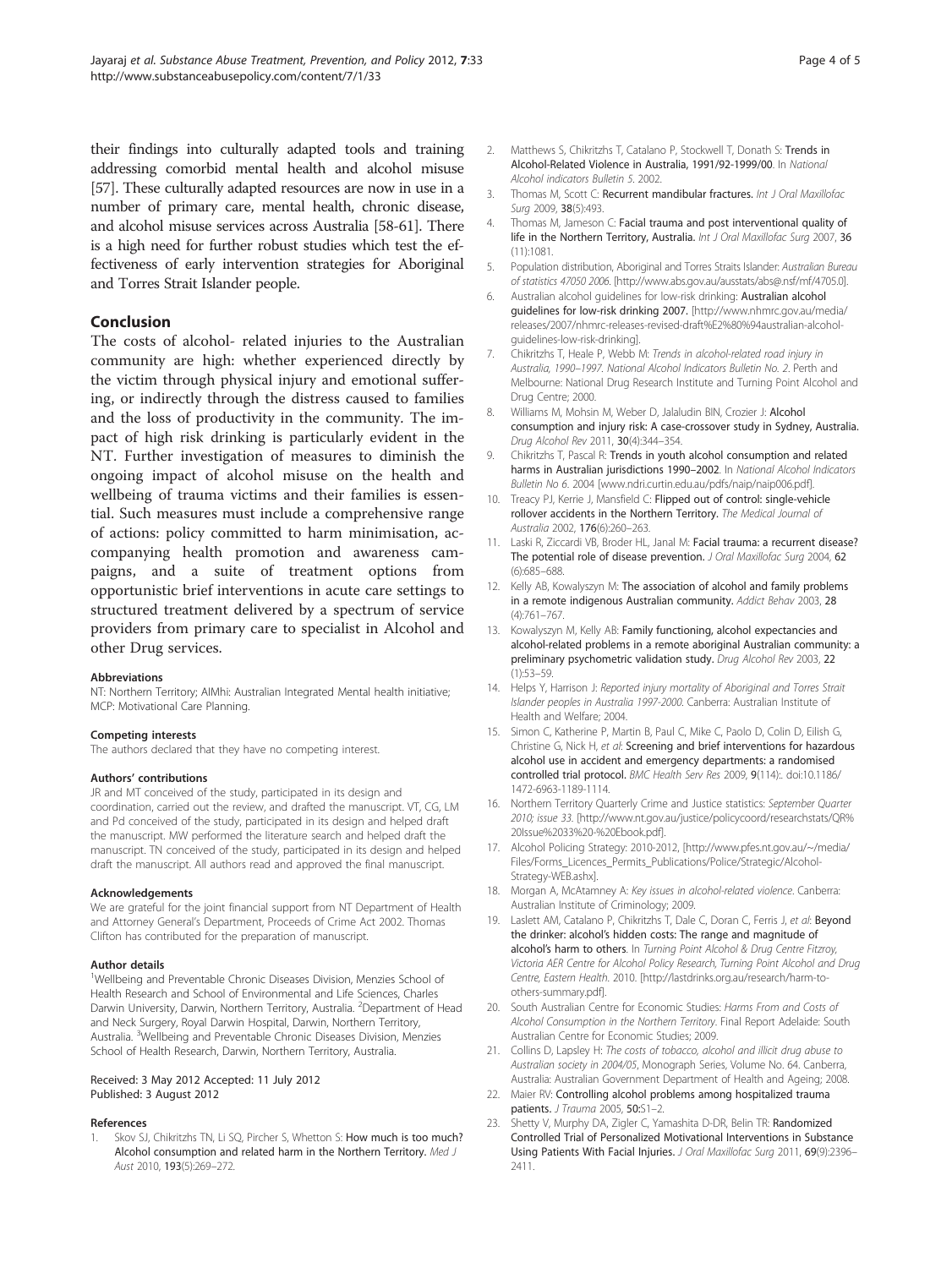<span id="page-4-0"></span>their findings into culturally adapted tools and training addressing comorbid mental health and alcohol misuse [[57](#page-5-0)]. These culturally adapted resources are now in use in a number of primary care, mental health, chronic disease, and alcohol misuse services across Australia [\[58](#page-5-0)-[61](#page-5-0)]. There is a high need for further robust studies which test the effectiveness of early intervention strategies for Aboriginal and Torres Strait Islander people.

# Conclusion

The costs of alcohol- related injuries to the Australian community are high: whether experienced directly by the victim through physical injury and emotional suffering, or indirectly through the distress caused to families and the loss of productivity in the community. The impact of high risk drinking is particularly evident in the NT. Further investigation of measures to diminish the ongoing impact of alcohol misuse on the health and wellbeing of trauma victims and their families is essential. Such measures must include a comprehensive range of actions: policy committed to harm minimisation, accompanying health promotion and awareness campaigns, and a suite of treatment options from opportunistic brief interventions in acute care settings to structured treatment delivered by a spectrum of service providers from primary care to specialist in Alcohol and other Drug services.

#### Abbreviations

NT: Northern Territory; AIMhi: Australian Integrated Mental health initiative; MCP: Motivational Care Planning.

#### Competing interests

The authors declared that they have no competing interest.

#### Authors' contributions

JR and MT conceived of the study, participated in its design and coordination, carried out the review, and drafted the manuscript. VT, CG, LM and Pd conceived of the study, participated in its design and helped draft the manuscript. MW performed the literature search and helped draft the manuscript. TN conceived of the study, participated in its design and helped draft the manuscript. All authors read and approved the final manuscript.

#### Acknowledgements

We are grateful for the joint financial support from NT Department of Health and Attorney General's Department, Proceeds of Crime Act 2002. Thomas Clifton has contributed for the preparation of manuscript.

#### Author details

<sup>1</sup>Wellbeing and Preventable Chronic Diseases Division, Menzies School of Health Research and School of Environmental and Life Sciences, Charles Darwin University, Darwin, Northern Territory, Australia. <sup>2</sup>Department of Head and Neck Surgery, Royal Darwin Hospital, Darwin, Northern Territory, Australia. <sup>3</sup>Wellbeing and Preventable Chronic Diseases Division, Menzies School of Health Research, Darwin, Northern Territory, Australia.

#### Received: 3 May 2012 Accepted: 11 July 2012 Published: 3 August 2012

#### References

Skov SJ, Chikritzhs TN, Li SQ, Pircher S, Whetton S: How much is too much? Alcohol consumption and related harm in the Northern Territory. Med J Aust 2010, 193(5):269–272.

- 2. Matthews S, Chikritzhs T, Catalano P, Stockwell T, Donath S: Trends in Alcohol-Related Violence in Australia, 1991/92-1999/00. In National Alcohol indicators Bulletin 5. 2002.
- Thomas M, Scott C: Recurrent mandibular fractures. Int J Oral Maxillofac Surg 2009, 38(5):493.
- 4. Thomas M, Jameson C: Facial trauma and post interventional quality of life in the Northern Territory, Australia. Int J Oral Maxillofac Surg 2007, 36 (11):1081.
- 5. Population distribution, Aboriginal and Torres Straits Islander: Australian Bureau of statistics 47050 2006. [\[http://www.abs.gov.au/ausstats/abs@.nsf/mf/4705.0\]](http://www.abs.gov.au/ausstats/abs@.nsf/mf/4705.0).
- 6. Australian alcohol guidelines for low-risk drinking: Australian alcohol guidelines for low-risk drinking 2007. [[http://www.nhmrc.gov.au/media/](http://www.nhmrc.gov.au/media/releases/2007/nhmrc-releases-revised-draft%E2%80%94australian-alcohol-guidelines-low-risk-drinking) [releases/2007/nhmrc-releases-revised-draft%E2%80%94australian-alcohol](http://www.nhmrc.gov.au/media/releases/2007/nhmrc-releases-revised-draft%E2%80%94australian-alcohol-guidelines-low-risk-drinking)[guidelines-low-risk-drinking\]](http://www.nhmrc.gov.au/media/releases/2007/nhmrc-releases-revised-draft%E2%80%94australian-alcohol-guidelines-low-risk-drinking).
- 7. Chikritzhs T, Heale P, Webb M: Trends in alcohol-related road injury in Australia, 1990–1997. National Alcohol Indicators Bulletin No. 2. Perth and Melbourne: National Drug Research Institute and Turning Point Alcohol and Drug Centre; 2000.
- 8. Williams M, Mohsin M, Weber D, Jalaludin BIN, Crozier J: Alcohol consumption and injury risk: A case-crossover study in Sydney, Australia. Drug Alcohol Rev 2011, 30(4):344–354.
- 9. Chikritzhs T, Pascal R: Trends in youth alcohol consumption and related harms in Australian jurisdictions 1990–2002. In National Alcohol Indicators Bulletin No 6. 2004 [[www.ndri.curtin.edu.au/pdfs/naip/naip006.pdf\]](http://www.ndri.curtin.edu.au/pdfs/naip/naip006.pdf).
- 10. Treacy PJ, Kerrie J, Mansfield C: Flipped out of control: single-vehicle rollover accidents in the Northern Territory. The Medical Journal of Australia 2002, 176(6):260–263.
- 11. Laski R, Ziccardi VB, Broder HL, Janal M: Facial trauma: a recurrent disease? The potential role of disease prevention. J Oral Maxillofac Surg 2004, 62 (6):685–688.
- 12. Kelly AB, Kowalyszyn M: The association of alcohol and family problems in a remote indigenous Australian community. Addict Behav 2003, 28 (4):761–767.
- 13. Kowalyszyn M, Kelly AB: Family functioning, alcohol expectancies and alcohol-related problems in a remote aboriginal Australian community: a preliminary psychometric validation study. Drug Alcohol Rev 2003, 22 (1):53–59.
- 14. Helps Y, Harrison J: Reported injury mortality of Aboriginal and Torres Strait Islander peoples in Australia 1997-2000. Canberra: Australian Institute of Health and Welfare; 2004.
- 15. Simon C, Katherine P, Martin B, Paul C, Mike C, Paolo D, Colin D, Eilish G, Christine G, Nick H, et al: Screening and brief interventions for hazardous alcohol use in accident and emergency departments: a randomised controlled trial protocol. BMC Health Serv Res 2009, 9(114):. doi[:10.1186/](http://dx.doi.org/10.1186/1472-6963-1189-1114) [1472-6963-1189-1114.](http://dx.doi.org/10.1186/1472-6963-1189-1114)
- 16. Northern Territory Quarterly Crime and Justice statistics: September Quarter 2010; issue 33. [[http://www.nt.gov.au/justice/policycoord/researchstats/QR%](http://www.nt.gov.au/justice/policycoord/researchstats/QR%20Issue%2033%20-%20Ebook.pdf) [20Issue%2033%20-%20Ebook.pdf\]](http://www.nt.gov.au/justice/policycoord/researchstats/QR%20Issue%2033%20-%20Ebook.pdf).
- 17. Alcohol Policing Strategy: 2010-2012, [\[http://www.pfes.nt.gov.au/~/media/](http://www.pfes.nt.gov.au/~/media/Files/Forms_Licences_Permits_Publications/Police/Strategic/Alcohol-Strategy-WEB.ashx) [Files/Forms\\_Licences\\_Permits\\_Publications/Police/Strategic/Alcohol-](http://www.pfes.nt.gov.au/~/media/Files/Forms_Licences_Permits_Publications/Police/Strategic/Alcohol-Strategy-WEB.ashx)[Strategy-WEB.ashx](http://www.pfes.nt.gov.au/~/media/Files/Forms_Licences_Permits_Publications/Police/Strategic/Alcohol-Strategy-WEB.ashx)].
- 18. Morgan A, McAtamney A: Key issues in alcohol-related violence. Canberra: Australian Institute of Criminology; 2009.
- 19. Laslett AM, Catalano P, Chikritzhs T, Dale C, Doran C, Ferris J, et al: Beyond the drinker: alcohol's hidden costs: The range and magnitude of alcohol's harm to others. In Turning Point Alcohol & Drug Centre Fitzroy, Victoria AER Centre for Alcohol Policy Research, Turning Point Alcohol and Drug Centre, Eastern Health. 2010. [\[http://lastdrinks.org.au/research/harm-to](http://lastdrinks.org.au/research/harm-to-others-summary.pdf)[others-summary.pdf\]](http://lastdrinks.org.au/research/harm-to-others-summary.pdf).
- 20. South Australian Centre for Economic Studies: Harms From and Costs of Alcohol Consumption in the Northern Territory. Final Report Adelaide: South Australian Centre for Economic Studies; 2009.
- 21. Collins D, Lapsley H: The costs of tobacco, alcohol and illicit drug abuse to Australian society in 2004/05, Monograph Series, Volume No. 64. Canberra, Australia: Australian Government Department of Health and Ageing; 2008.
- 22. Maier RV: Controlling alcohol problems among hospitalized trauma patients. J Trauma 2005, 50:S1–2.
- 23. Shetty V, Murphy DA, Zigler C, Yamashita D-DR, Belin TR: Randomized Controlled Trial of Personalized Motivational Interventions in Substance Using Patients With Facial Injuries. J Oral Maxillofac Surg 2011, 69(9):2396– 2411.